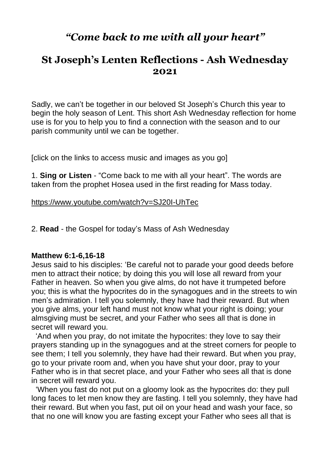# *"Come back to me with all your heart"*

## **St Joseph's Lenten Reflections - Ash Wednesday 2021**

Sadly, we can't be together in our beloved St Joseph's Church this year to begin the holy season of Lent. This short Ash Wednesday reflection for home use is for you to help you to find a connection with the season and to our parish community until we can be together.

[click on the links to access music and images as you go]

1. **Sing or Listen** - "Come back to me with all your heart". The words are taken from the prophet Hosea used in the first reading for Mass today.

<https://www.youtube.com/watch?v=SJ20I-UhTec>

2. **Read** - the Gospel for today's Mass of Ash Wednesday

#### **Matthew 6:1-6,16-18**

Jesus said to his disciples: 'Be careful not to parade your good deeds before men to attract their notice; by doing this you will lose all reward from your Father in heaven. So when you give alms, do not have it trumpeted before you; this is what the hypocrites do in the synagogues and in the streets to win men's admiration. I tell you solemnly, they have had their reward. But when you give alms, your left hand must not know what your right is doing; your almsgiving must be secret, and your Father who sees all that is done in secret will reward you.

 'And when you pray, do not imitate the hypocrites: they love to say their prayers standing up in the synagogues and at the street corners for people to see them; I tell you solemnly, they have had their reward. But when you pray, go to your private room and, when you have shut your door, pray to your Father who is in that secret place, and your Father who sees all that is done in secret will reward you.

 'When you fast do not put on a gloomy look as the hypocrites do: they pull long faces to let men know they are fasting. I tell you solemnly, they have had their reward. But when you fast, put oil on your head and wash your face, so that no one will know you are fasting except your Father who sees all that is